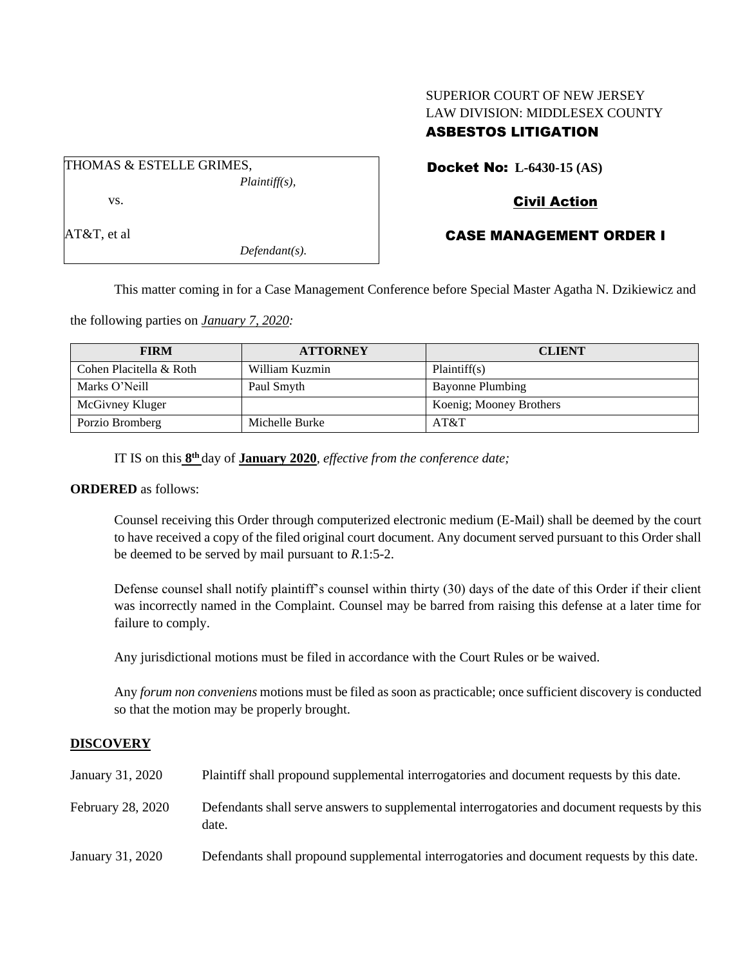# SUPERIOR COURT OF NEW JERSEY LAW DIVISION: MIDDLESEX COUNTY ASBESTOS LITIGATION

THOMAS & ESTELLE GRIMES, *Plaintiff(s),* vs. AT&T, et al

*Defendant(s).*

# Docket No: **L-6430-15 (AS)**

## Civil Action

## CASE MANAGEMENT ORDER I

This matter coming in for a Case Management Conference before Special Master Agatha N. Dzikiewicz and

the following parties on *January 7, 2020:*

| <b>FIRM</b>             | <b>ATTORNEY</b> | <b>CLIENT</b>           |
|-------------------------|-----------------|-------------------------|
| Cohen Placitella & Roth | William Kuzmin  | Plaintiff(s)            |
| Marks O'Neill           | Paul Smyth      | Bayonne Plumbing        |
| McGivney Kluger         |                 | Koenig; Mooney Brothers |
| Porzio Bromberg         | Michelle Burke  | AT&T                    |

IT IS on this  $8<sup>th</sup>$  day of **January 2020**, *effective from the conference date*;

### **ORDERED** as follows:

Counsel receiving this Order through computerized electronic medium (E-Mail) shall be deemed by the court to have received a copy of the filed original court document. Any document served pursuant to this Order shall be deemed to be served by mail pursuant to *R*.1:5-2.

Defense counsel shall notify plaintiff's counsel within thirty (30) days of the date of this Order if their client was incorrectly named in the Complaint. Counsel may be barred from raising this defense at a later time for failure to comply.

Any jurisdictional motions must be filed in accordance with the Court Rules or be waived.

Any *forum non conveniens* motions must be filed as soon as practicable; once sufficient discovery is conducted so that the motion may be properly brought.

## **DISCOVERY**

| January 31, 2020  | Plaintiff shall propound supplemental interrogatories and document requests by this date.             |
|-------------------|-------------------------------------------------------------------------------------------------------|
| February 28, 2020 | Defendants shall serve answers to supplemental interrogatories and document requests by this<br>date. |
| January 31, 2020  | Defendants shall propound supplemental interrogatories and document requests by this date.            |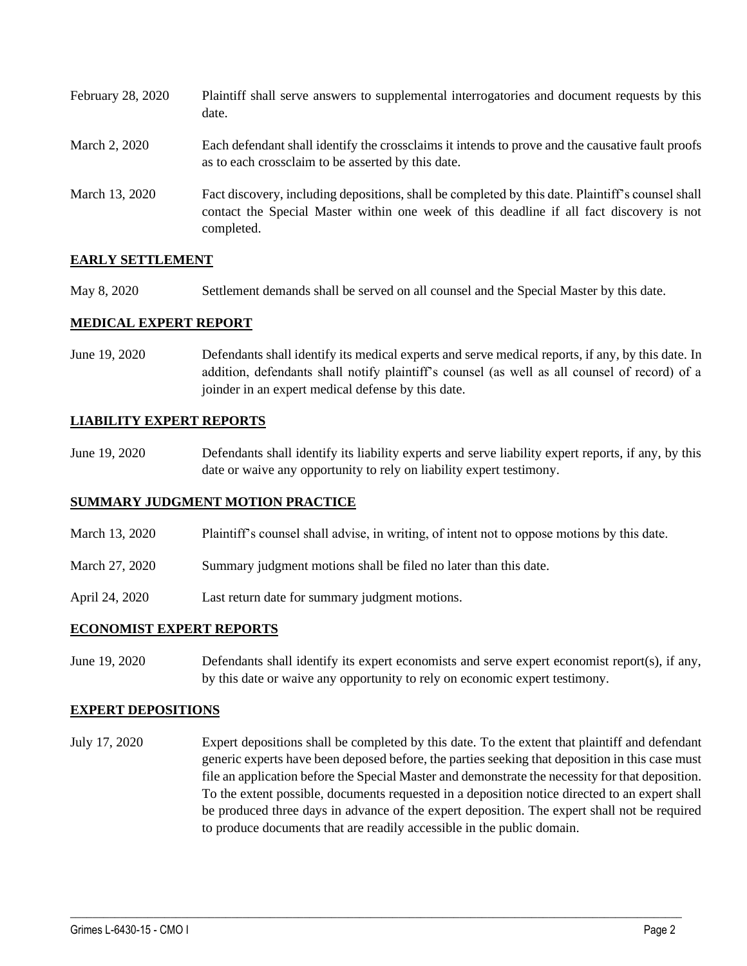| February 28, 2020 | Plaintiff shall serve answers to supplemental interrogatories and document requests by this<br>date.                                                                                                        |
|-------------------|-------------------------------------------------------------------------------------------------------------------------------------------------------------------------------------------------------------|
| March 2, 2020     | Each defendant shall identify the crossclaims it intends to prove and the causative fault proofs<br>as to each crossclaim to be asserted by this date.                                                      |
| March 13, 2020    | Fact discovery, including depositions, shall be completed by this date. Plaintiff's counsel shall<br>contact the Special Master within one week of this deadline if all fact discovery is not<br>completed. |

### **EARLY SETTLEMENT**

May 8, 2020 Settlement demands shall be served on all counsel and the Special Master by this date.

### **MEDICAL EXPERT REPORT**

June 19, 2020 Defendants shall identify its medical experts and serve medical reports, if any, by this date. In addition, defendants shall notify plaintiff's counsel (as well as all counsel of record) of a joinder in an expert medical defense by this date.

### **LIABILITY EXPERT REPORTS**

June 19, 2020 Defendants shall identify its liability experts and serve liability expert reports, if any, by this date or waive any opportunity to rely on liability expert testimony.

### **SUMMARY JUDGMENT MOTION PRACTICE**

- March 13, 2020 Plaintiff's counsel shall advise, in writing, of intent not to oppose motions by this date.
- March 27, 2020 Summary judgment motions shall be filed no later than this date.
- April 24, 2020 Last return date for summary judgment motions.

### **ECONOMIST EXPERT REPORTS**

June 19, 2020 Defendants shall identify its expert economists and serve expert economist report(s), if any, by this date or waive any opportunity to rely on economic expert testimony.

### **EXPERT DEPOSITIONS**

July 17, 2020 Expert depositions shall be completed by this date. To the extent that plaintiff and defendant generic experts have been deposed before, the parties seeking that deposition in this case must file an application before the Special Master and demonstrate the necessity for that deposition. To the extent possible, documents requested in a deposition notice directed to an expert shall be produced three days in advance of the expert deposition. The expert shall not be required to produce documents that are readily accessible in the public domain.

 $\_$  , and the set of the set of the set of the set of the set of the set of the set of the set of the set of the set of the set of the set of the set of the set of the set of the set of the set of the set of the set of th